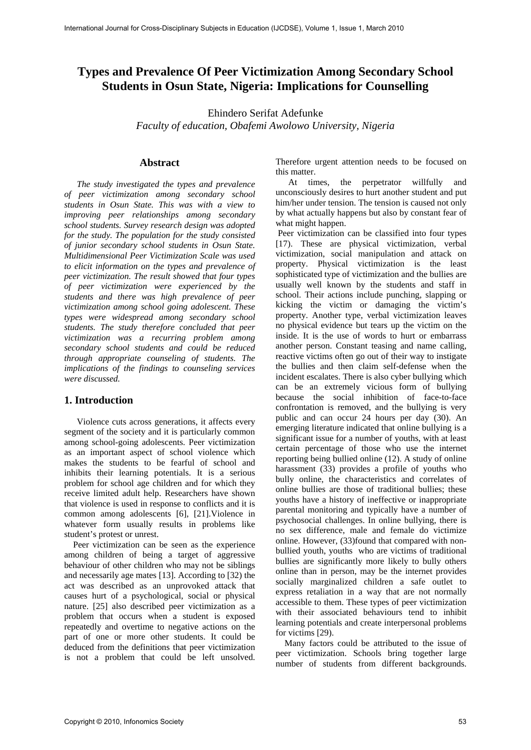# **Types and Prevalence Of Peer Victimization Among Secondary School Students in Osun State, Nigeria: Implications for Counselling**

Ehindero Serifat Adefunke *Faculty of education, Obafemi Awolowo University, Nigeria* 

#### **Abstract**

*The study investigated the types and prevalence of peer victimization among secondary school students in Osun State. This was with a view to improving peer relationships among secondary school students. Survey research design was adopted for the study. The population for the study consisted of junior secondary school students in Osun State. Multidimensional Peer Victimization Scale was used to elicit information on the types and prevalence of peer victimization. The result showed that four types of peer victimization were experienced by the students and there was high prevalence of peer victimization among school going adolescent. These types were widespread among secondary school students. The study therefore concluded that peer victimization was a recurring problem among secondary school students and could be reduced through appropriate counseling of students. The implications of the findings to counseling services were discussed.* 

## **1. Introduction**

Violence cuts across generations, it affects every segment of the society and it is particularly common among school-going adolescents. Peer victimization as an important aspect of school violence which makes the students to be fearful of school and inhibits their learning potentials. It is a serious problem for school age children and for which they receive limited adult help. Researchers have shown that violence is used in response to conflicts and it is common among adolescents [6], [21].Violence in whatever form usually results in problems like student's protest or unrest.

 Peer victimization can be seen as the experience among children of being a target of aggressive behaviour of other children who may not be siblings and necessarily age mates [13]. According to [32) the act was described as an unprovoked attack that causes hurt of a psychological, social or physical nature. [25] also described peer victimization as a problem that occurs when a student is exposed repeatedly and overtime to negative actions on the part of one or more other students. It could be deduced from the definitions that peer victimization is not a problem that could be left unsolved. Therefore urgent attention needs to be focused on this matter.

At times, the perpetrator willfully and unconsciously desires to hurt another student and put him/her under tension. The tension is caused not only by what actually happens but also by constant fear of what might happen.

 Peer victimization can be classified into four types [17). These are physical victimization, verbal victimization, social manipulation and attack on property. Physical victimization is the least sophisticated type of victimization and the bullies are usually well known by the students and staff in school. Their actions include punching, slapping or kicking the victim or damaging the victim's property. Another type, verbal victimization leaves no physical evidence but tears up the victim on the inside. It is the use of words to hurt or embarrass another person. Constant teasing and name calling, reactive victims often go out of their way to instigate the bullies and then claim self-defense when the incident escalates. There is also cyber bullying which can be an extremely vicious form of bullying because the social inhibition of face-to-face confrontation is removed, and the bullying is very public and can occur 24 hours per day (30). An emerging literature indicated that online bullying is a significant issue for a number of youths, with at least certain percentage of those who use the internet reporting being bullied online (12). A study of online harassment (33) provides a profile of youths who bully online, the characteristics and correlates of online bullies are those of traditional bullies; these youths have a history of ineffective or inappropriate parental monitoring and typically have a number of psychosocial challenges. In online bullying, there is no sex difference, male and female do victimize online. However, (33)found that compared with nonbullied youth, youths who are victims of traditional bullies are significantly more likely to bully others online than in person, may be the internet provides socially marginalized children a safe outlet to express retaliation in a way that are not normally accessible to them. These types of peer victimization with their associated behaviours tend to inhibit learning potentials and create interpersonal problems for victims [29).

 Many factors could be attributed to the issue of peer victimization. Schools bring together large number of students from different backgrounds.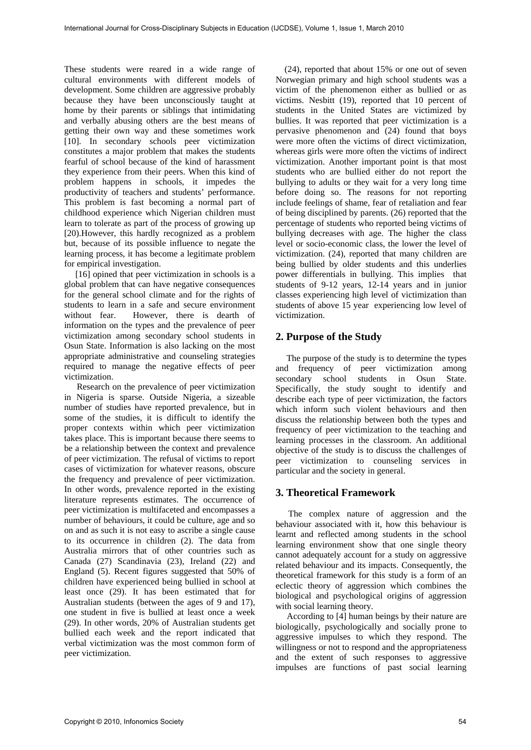These students were reared in a wide range of cultural environments with different models of development. Some children are aggressive probably because they have been unconsciously taught at home by their parents or siblings that intimidating and verbally abusing others are the best means of getting their own way and these sometimes work [10]. In secondary schools peer victimization constitutes a major problem that makes the students fearful of school because of the kind of harassment they experience from their peers. When this kind of problem happens in schools, it impedes the productivity of teachers and students' performance. This problem is fast becoming a normal part of childhood experience which Nigerian children must learn to tolerate as part of the process of growing up [20).However, this hardly recognized as a problem but, because of its possible influence to negate the learning process, it has become a legitimate problem for empirical investigation.

 [16] opined that peer victimization in schools is a global problem that can have negative consequences for the general school climate and for the rights of students to learn in a safe and secure environment without fear. However, there is dearth of information on the types and the prevalence of peer victimization among secondary school students in Osun State. Information is also lacking on the most appropriate administrative and counseling strategies required to manage the negative effects of peer victimization.

Research on the prevalence of peer victimization in Nigeria is sparse. Outside Nigeria, a sizeable number of studies have reported prevalence, but in some of the studies, it is difficult to identify the proper contexts within which peer victimization takes place. This is important because there seems to be a relationship between the context and prevalence of peer victimization. The refusal of victims to report cases of victimization for whatever reasons, obscure the frequency and prevalence of peer victimization. In other words, prevalence reported in the existing literature represents estimates. The occurrence of peer victimization is multifaceted and encompasses a number of behaviours, it could be culture, age and so on and as such it is not easy to ascribe a single cause to its occurrence in children (2). The data from Australia mirrors that of other countries such as Canada (27) Scandinavia (23), Ireland (22) and England (5). Recent figures suggested that 50% of children have experienced being bullied in school at least once (29). It has been estimated that for Australian students (between the ages of 9 and 17), one student in five is bullied at least once a week (29). In other words, 20% of Australian students get bullied each week and the report indicated that verbal victimization was the most common form of peer victimization.

 (24), reported that about 15% or one out of seven Norwegian primary and high school students was a victim of the phenomenon either as bullied or as victims. Nesbitt (19), reported that 10 percent of students in the United States are victimized by bullies. It was reported that peer victimization is a pervasive phenomenon and (24) found that boys were more often the victims of direct victimization, whereas girls were more often the victims of indirect victimization. Another important point is that most students who are bullied either do not report the bullying to adults or they wait for a very long time before doing so. The reasons for not reporting include feelings of shame, fear of retaliation and fear of being disciplined by parents. (26) reported that the percentage of students who reported being victims of bullying decreases with age. The higher the class level or socio-economic class, the lower the level of victimization. (24), reported that many children are being bullied by older students and this underlies power differentials in bullying. This implies that students of 9-12 years, 12-14 years and in junior classes experiencing high level of victimization than students of above 15 year experiencing low level of victimization.

## **2. Purpose of the Study**

The purpose of the study is to determine the types and frequency of peer victimization among secondary school students in Osun State. Specifically, the study sought to identify and describe each type of peer victimization, the factors which inform such violent behaviours and then discuss the relationship between both the types and frequency of peer victimization to the teaching and learning processes in the classroom. An additional objective of the study is to discuss the challenges of peer victimization to counseling services in particular and the society in general.

### **3. Theoretical Framework**

The complex nature of aggression and the behaviour associated with it, how this behaviour is learnt and reflected among students in the school learning environment show that one single theory cannot adequately account for a study on aggressive related behaviour and its impacts. Consequently, the theoretical framework for this study is a form of an eclectic theory of aggression which combines the biological and psychological origins of aggression with social learning theory.

 According to [4] human beings by their nature are biologically, psychologically and socially prone to aggressive impulses to which they respond. The willingness or not to respond and the appropriateness and the extent of such responses to aggressive impulses are functions of past social learning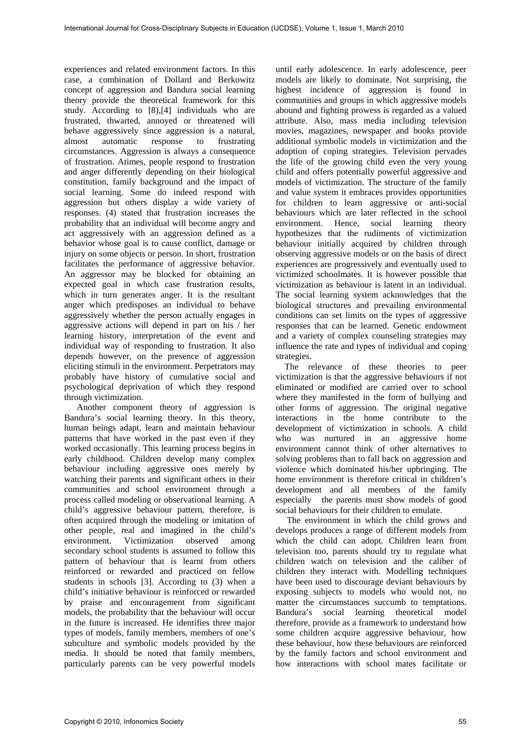experiences and related environment factors. In this case, a combination of Dollard and Berkowitz concept of aggression and Bandura social learning theory provide the theoretical framework for this study. According to [8),[4] individuals who are frustrated, thwarted, annoyed or threatened will behave aggressively since aggression is a natural, almost automatic response to frustrating circumstances. Aggression is always a consequence of frustration. Atimes, people respond to frustration and anger differently depending on their biological constitution, family background and the impact of social learning. Some do indeed respond with aggression but others display a wide variety of responses. (4) stated that frustration increases the probability that an individual will become angry and act aggressively with an aggression defined as a behavior whose goal is to cause conflict, damage or injury on some objects or person. In short, frustration facilitates the performance of aggressive behavior. An aggressor may be blocked for obtaining an expected goal in which case frustration results, which in turn generates anger. It is the resultant anger which predisposes an individual to behave aggressively whether the person actually engages in aggressive actions will depend in part on his / her learning history, interpretation of the event and individual way of responding to frustration. It also depends however, on the presence of aggression eliciting stimuli in the environment. Perpetrators may probably have history of cumulative social and psychological deprivation of which they respond through victimization.

Another component theory of aggression is Bandura's social learning theory. In this theory, human beings adapt, learn and maintain behaviour patterns that have worked in the past even if they worked occasionally. This learning process begins in early childhood. Children develop many complex behaviour including aggressive ones merely by watching their parents and significant others in their communities and school environment through a process called modeling or observational learning. A child's aggressive behaviour pattern, therefore, is often acquired through the modeling or imitation of other people, real and imagined in the child's environment. Victimization observed among secondary school students is assumed to follow this pattern of behaviour that is learnt from others reinforced or rewarded and practiced on fellow students in schools [3]. According to (3) when a child's initiative behaviour is reinforced or rewarded by praise and encouragement from significant models, the probability that the behaviour will occur in the future is increased. He identifies three major types of models, family members, members of one's subculture and symbolic models provided by the media. It should be noted that family members, particularly parents can be very powerful models

until early adolescence. In early adolescence, peer models are likely to dominate. Not surprising, the highest incidence of aggression is found in communities and groups in which aggressive models abound and fighting prowess is regarded as a valued attribute. Also, mass media including television movies, magazines, newspaper and books provide additional symbolic models in victimization and the adoption of coping strategies. Television pervades the life of the growing child even the very young child and offers potentially powerful aggressive and models of victimization. The structure of the family and value system it embraces provides opportunities for children to learn aggressive or anti-social behaviours which are later reflected in the school environment. Hence, social learning theory hypothesizes that the rudiments of victimization behaviour initially acquired by children through observing aggressive models or on the basis of direct experiences are progressively and eventually used to victimized schoolmates. It is however possible that victimization as behaviour is latent in an individual. The social learning system acknowledges that the biological structures and prevailing environmental conditions can set limits on the types of aggressive responses that can be learned. Genetic endowment and a variety of complex counseling strategies may influence the rate and types of individual and coping strategies.

 The relevance of these theories to peer victimization is that the aggressive behaviours if not eliminated or modified are carried over to school where they manifested in the form of bullying and other forms of aggression. The original negative interactions in the home contribute to the development of victimization in schools. A child who was nurtured in an aggressive home environment cannot think of other alternatives to solving problems than to fall back on aggression and violence which dominated his/her upbringing. The home environment is therefore critical in children's development and all members of the family especially the parents must show models of good social behaviours for their children to emulate.

 The environment in which the child grows and develops produces a range of different models from which the child can adopt. Children learn from television too, parents should try to regulate what children watch on television and the caliber of children they interact with. Modelling techniques have been used to discourage deviant behaviours by exposing subjects to models who would not, no matter the circumstances succumb to temptations. Bandura's social learning theoretical model therefore, provide as a framework to understand how some children acquire aggressive behaviour, how these behaviour, how these behaviours are reinforced by the family factors and school environment and how interactions with school mates facilitate or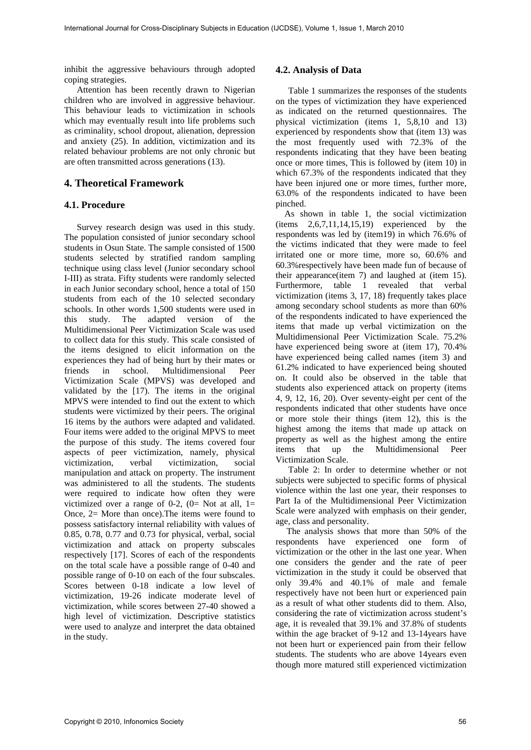inhibit the aggressive behaviours through adopted coping strategies.

Attention has been recently drawn to Nigerian children who are involved in aggressive behaviour. This behaviour leads to victimization in schools which may eventually result into life problems such as criminality, school dropout, alienation, depression and anxiety (25). In addition, victimization and its related behaviour problems are not only chronic but are often transmitted across generations (13).

#### **4. Theoretical Framework**

#### **4.1. Procedure**

Survey research design was used in this study. The population consisted of junior secondary school students in Osun State. The sample consisted of 1500 students selected by stratified random sampling technique using class level (Junior secondary school I-III) as strata. Fifty students were randomly selected in each Junior secondary school, hence a total of 150 students from each of the 10 selected secondary schools. In other words 1,500 students were used in this study. The adapted version of the Multidimensional Peer Victimization Scale was used to collect data for this study. This scale consisted of the items designed to elicit information on the experiences they had of being hurt by their mates or friends in school. Multidimensional Peer Victimization Scale (MPVS) was developed and validated by the [17). The items in the original MPVS were intended to find out the extent to which students were victimized by their peers. The original 16 items by the authors were adapted and validated. Four items were added to the original MPVS to meet the purpose of this study. The items covered four aspects of peer victimization, namely, physical victimization, verbal victimization, social manipulation and attack on property. The instrument was administered to all the students. The students were required to indicate how often they were victimized over a range of 0-2,  $(0=$  Not at all, 1= Once, 2= More than once).The items were found to possess satisfactory internal reliability with values of 0.85, 0.78, 0.77 and 0.73 for physical, verbal, social victimization and attack on property subscales respectively [17]. Scores of each of the respondents on the total scale have a possible range of 0-40 and possible range of 0-10 on each of the four subscales. Scores between 0-18 indicate a low level of victimization, 19-26 indicate moderate level of victimization, while scores between 27-40 showed a high level of victimization. Descriptive statistics were used to analyze and interpret the data obtained in the study.

#### **4.2. Analysis of Data**

Table 1 summarizes the responses of the students on the types of victimization they have experienced as indicated on the returned questionnaires. The physical victimization (items 1, 5,8,10 and 13) experienced by respondents show that (item 13) was the most frequently used with 72.3% of the respondents indicating that they have been beating once or more times, This is followed by (item 10) in which 67.3% of the respondents indicated that they have been injured one or more times, further more, 63.0% of the respondents indicated to have been pinched.

 As shown in table 1, the social victimization (items 2,6,7,11,14,15,19) experienced by the respondents was led by (item19) in which 76.6% of the victims indicated that they were made to feel irritated one or more time, more so, 60.6% and 60.3%respectively have been made fun of because of their appearance(item 7) and laughed at (item 15). Furthermore, table 1 revealed that verbal victimization (items 3, 17, 18) frequently takes place among secondary school students as more than 60% of the respondents indicated to have experienced the items that made up verbal victimization on the Multidimensional Peer Victimization Scale. 75.2% have experienced being swore at (item 17), 70.4% have experienced being called names (item 3) and 61.2% indicated to have experienced being shouted on. It could also be observed in the table that students also experienced attack on property (items 4, 9, 12, 16, 20). Over seventy-eight per cent of the respondents indicated that other students have once or more stole their things (item 12), this is the highest among the items that made up attack on property as well as the highest among the entire items that up the Multidimensional Peer Victimization Scale.

Table 2: In order to determine whether or not subjects were subjected to specific forms of physical violence within the last one year, their responses to Part Ia of the Multidimensional Peer Victimization Scale were analyzed with emphasis on their gender, age, class and personality.

The analysis shows that more than 50% of the respondents have experienced one form of victimization or the other in the last one year. When one considers the gender and the rate of peer victimization in the study it could be observed that only 39.4% and 40.1% of male and female respectively have not been hurt or experienced pain as a result of what other students did to them. Also, considering the rate of victimization across student's age, it is revealed that 39.1% and 37.8% of students within the age bracket of 9-12 and 13-14years have not been hurt or experienced pain from their fellow students. The students who are above 14years even though more matured still experienced victimization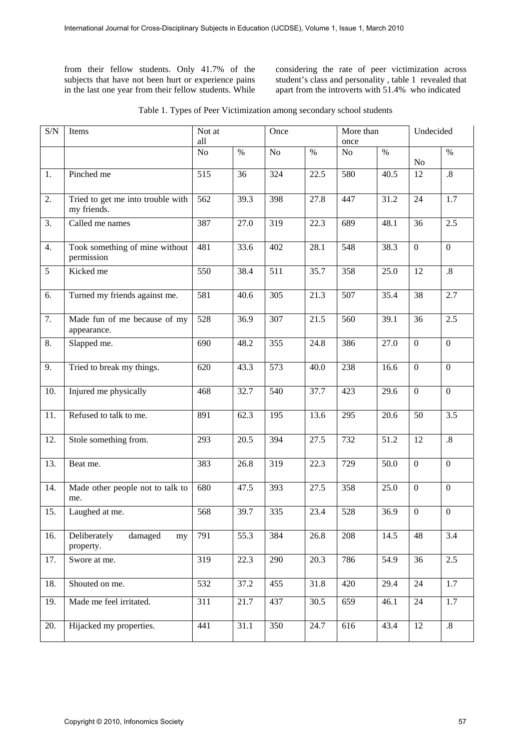from their fellow students. Only 41.7% of the subjects that have not been hurt or experience pains in the last one year from their fellow students. While considering the rate of peer victimization across student's class and personality , table 1 revealed that apart from the introverts with 51.4% who indicated

| S/N               | Items                                            | Not at<br>all |      | Once |      | More than<br>once |      | Undecided      |                   |
|-------------------|--------------------------------------------------|---------------|------|------|------|-------------------|------|----------------|-------------------|
|                   |                                                  | No            | $\%$ | No   | $\%$ | No                | $\%$ | No             | $\%$              |
| $\overline{1}$ .  | Pinched me                                       | 515           | 36   | 324  | 22.5 | 580               | 40.5 | 12             | $\boldsymbol{.8}$ |
| $\overline{2}$ .  | Tried to get me into trouble with<br>my friends. | 562           | 39.3 | 398  | 27.8 | 447               | 31.2 | 24             | 1.7               |
| 3.                | Called me names                                  | 387           | 27.0 | 319  | 22.3 | 689               | 48.1 | 36             | 2.5               |
| 4.                | Took something of mine without<br>permission     | 481           | 33.6 | 402  | 28.1 | 548               | 38.3 | $\overline{0}$ | $\mathbf{0}$      |
| $\overline{5}$    | Kicked me                                        | 550           | 38.4 | 511  | 35.7 | 358               | 25.0 | 12             | $\boldsymbol{.8}$ |
| 6.                | Turned my friends against me.                    | 581           | 40.6 | 305  | 21.3 | 507               | 35.4 | 38             | 2.7               |
| 7.                | Made fun of me because of my<br>appearance.      | 528           | 36.9 | 307  | 21.5 | 560               | 39.1 | 36             | 2.5               |
| 8.                | Slapped me.                                      | 690           | 48.2 | 355  | 24.8 | 386               | 27.0 | $\overline{0}$ | $\boldsymbol{0}$  |
| 9.                | Tried to break my things.                        | 620           | 43.3 | 573  | 40.0 | 238               | 16.6 | $\mathbf{0}$   | $\boldsymbol{0}$  |
| 10.               | Injured me physically                            | 468           | 32.7 | 540  | 37.7 | 423               | 29.6 | $\overline{0}$ | $\mathbf{0}$      |
| $\overline{11}$ . | Refused to talk to me.                           | 891           | 62.3 | 195  | 13.6 | 295               | 20.6 | 50             | 3.5               |
| $\overline{12}$ . | Stole something from.                            | 293           | 20.5 | 394  | 27.5 | 732               | 51.2 | 12             | $.8\,$            |
| 13.               | Beat me.                                         | 383           | 26.8 | 319  | 22.3 | 729               | 50.0 | $\mathbf{0}$   | $\boldsymbol{0}$  |
| 14.               | Made other people not to talk to<br>me.          | 680           | 47.5 | 393  | 27.5 | 358               | 25.0 | $\overline{0}$ | $\boldsymbol{0}$  |
| 15.               | Laughed at me.                                   | 568           | 39.7 | 335  | 23.4 | 528               | 36.9 | $\overline{0}$ | $\boldsymbol{0}$  |
| 16.               | Deliberately<br>damaged<br>my<br>property.       | 791           | 55.3 | 384  | 26.8 | 208               | 14.5 | 48             | 3.4               |
| 17.               | Swore at me.                                     | 319           | 22.3 | 290  | 20.3 | 786               | 54.9 | 36             | 2.5               |
| 18.               | Shouted on me.                                   | 532           | 37.2 | 455  | 31.8 | 420               | 29.4 | 24             | 1.7               |
| 19.               | Made me feel irritated.                          | 311           | 21.7 | 437  | 30.5 | 659               | 46.1 | 24             | 1.7               |
| 20.               | Hijacked my properties.                          | 441           | 31.1 | 350  | 24.7 | 616               | 43.4 | 12             | $.8\,$            |

| Table 1. Types of Peer Victimization among secondary school students |  |  |  |  |
|----------------------------------------------------------------------|--|--|--|--|
|----------------------------------------------------------------------|--|--|--|--|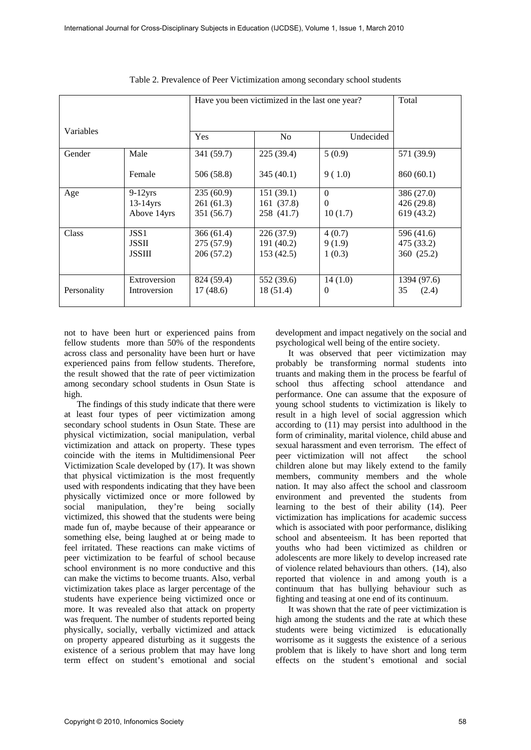|             |                  | Have you been victimized in the last one year? | Total                       |          |             |
|-------------|------------------|------------------------------------------------|-----------------------------|----------|-------------|
| Variables   |                  | Yes                                            | N <sub>o</sub><br>Undecided |          |             |
| Gender      | Male             | 341 (59.7)                                     | 225(39.4)                   | 5(0.9)   | 571 (39.9)  |
|             | Female           | 506 (58.8)                                     | 345(40.1)                   | 9(1.0)   | 860 (60.1)  |
| Age         | $9-12$ yrs       | 235(60.9)                                      | 151(39.1)                   | $\Omega$ | 386 (27.0)  |
|             | $13-14$ yrs      | 261 (61.3)                                     | 161 (37.8)                  | $\Omega$ | 426 (29.8)  |
|             | Above 14yrs      | 351 (56.7)                                     | 258 (41.7)                  | 10(1.7)  | 619 (43.2)  |
| Class       | JSS <sub>1</sub> | 366 (61.4)                                     | 226 (37.9)                  | 4(0.7)   | 596 (41.6)  |
|             | <b>JSSII</b>     | 275 (57.9)                                     | 191 (40.2)                  | 9(1.9)   | 475 (33.2)  |
|             | <b>JSSIII</b>    | 206 (57.2)                                     | 153 (42.5)                  | 1(0.3)   | 360 (25.2)  |
|             |                  |                                                |                             |          |             |
|             | Extroversion     | 824 (59.4)                                     | 552 (39.6)                  | 14(1.0)  | 1394 (97.6) |
| Personality | Introversion     | 17(48.6)                                       | 18 (51.4)                   | $\Omega$ | 35<br>(2.4) |
|             |                  |                                                |                             |          |             |

Table 2. Prevalence of Peer Victimization among secondary school students

not to have been hurt or experienced pains from fellow students more than 50% of the respondents across class and personality have been hurt or have experienced pains from fellow students. Therefore, the result showed that the rate of peer victimization among secondary school students in Osun State is high.

The findings of this study indicate that there were at least four types of peer victimization among secondary school students in Osun State. These are physical victimization, social manipulation, verbal victimization and attack on property. These types coincide with the items in Multidimensional Peer Victimization Scale developed by (17). It was shown that physical victimization is the most frequently used with respondents indicating that they have been physically victimized once or more followed by social manipulation, they're being socially victimized, this showed that the students were being made fun of, maybe because of their appearance or something else, being laughed at or being made to feel irritated. These reactions can make victims of peer victimization to be fearful of school because school environment is no more conductive and this can make the victims to become truants. Also, verbal victimization takes place as larger percentage of the students have experience being victimized once or more. It was revealed also that attack on property was frequent. The number of students reported being physically, socially, verbally victimized and attack on property appeared disturbing as it suggests the existence of a serious problem that may have long term effect on student's emotional and social

development and impact negatively on the social and psychological well being of the entire society.

It was observed that peer victimization may probably be transforming normal students into truants and making them in the process be fearful of school thus affecting school attendance and performance. One can assume that the exposure of young school students to victimization is likely to result in a high level of social aggression which according to (11) may persist into adulthood in the form of criminality, marital violence, child abuse and sexual harassment and even terrorism. The effect of peer victimization will not affect the school children alone but may likely extend to the family members, community members and the whole nation. It may also affect the school and classroom environment and prevented the students from learning to the best of their ability (14). Peer victimization has implications for academic success which is associated with poor performance, disliking school and absenteeism. It has been reported that youths who had been victimized as children or adolescents are more likely to develop increased rate of violence related behaviours than others. (14), also reported that violence in and among youth is a continuum that has bullying behaviour such as fighting and teasing at one end of its continuum.

It was shown that the rate of peer victimization is high among the students and the rate at which these students were being victimized is educationally worrisome as it suggests the existence of a serious problem that is likely to have short and long term effects on the student's emotional and social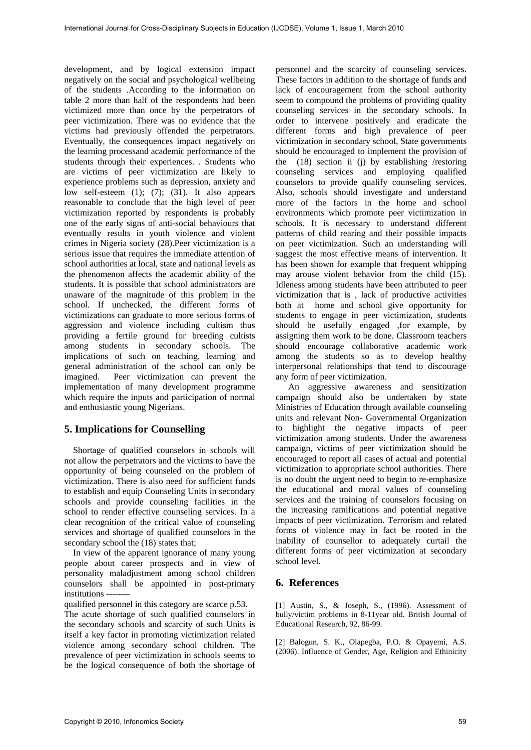development, and by logical extension impact negatively on the social and psychological wellbeing of the students .According to the information on table 2 more than half of the respondents had been victimized more than once by the perpetrators of peer victimization. There was no evidence that the victims had previously offended the perpetrators. Eventually, the consequences impact negatively on the learning processand academic performance of the students through their experiences. . Students who are victims of peer victimization are likely to experience problems such as depression, anxiety and low self-esteem (1); (7); (31). It also appears reasonable to conclude that the high level of peer victimization reported by respondents is probably one of the early signs of anti-social behaviours that eventually results in youth violence and violent crimes in Nigeria society (28).Peer victimization is a serious issue that requires the immediate attention of school authorities at local, state and national levels as the phenomenon affects the academic ability of the students. It is possible that school administrators are unaware of the magnitude of this problem in the school. If unchecked, the different forms of victimizations can graduate to more serious forms of aggression and violence including cultism thus providing a fertile ground for breeding cultists among students in secondary schools. The implications of such on teaching, learning and general administration of the school can only be imagined. Peer victimization can prevent the implementation of many development programme which require the inputs and participation of normal and enthusiastic young Nigerians.

### **5. Implications for Counselling**

 Shortage of qualified counselors in schools will not allow the perpetrators and the victims to have the opportunity of being counseled on the problem of victimization. There is also need for sufficient funds to establish and equip Counseling Units in secondary schools and provide counseling facilities in the school to render effective counseling services. In a clear recognition of the critical value of counseling services and shortage of qualified counselors in the secondary school the (18) states that:

 In view of the apparent ignorance of many young people about career prospects and in view of personality maladjustment among school children counselors shall be appointed in post-primary institutions --------

qualified personnel in this category are scarce p.53.

The acute shortage of such qualified counselors in the secondary schools and scarcity of such Units is itself a key factor in promoting victimization related violence among secondary school children. The prevalence of peer victimization in schools seems to be the logical consequence of both the shortage of

personnel and the scarcity of counseling services. These factors in addition to the shortage of funds and lack of encouragement from the school authority seem to compound the problems of providing quality counseling services in the secondary schools. In order to intervene positively and eradicate the different forms and high prevalence of peer victimization in secondary school, State governments should be encouraged to implement the provision of the  $(18)$  section ii (j) by establishing /restoring counseling services and employing qualified counselors to provide qualify counseling services. Also, schools should investigate and understand more of the factors in the home and school environments which promote peer victimization in schools. It is necessary to understand different patterns of child rearing and their possible impacts on peer victimization. Such an understanding will suggest the most effective means of intervention. It has been shown for example that frequent whipping may arouse violent behavior from the child (15). Idleness among students have been attributed to peer victimization that is , lack of productive activities both at home and school give opportunity for students to engage in peer victimization, students should be usefully engaged ,for example, by assigning them work to be done. Classroom teachers should encourage collaborative academic work among the students so as to develop healthy interpersonal relationships that tend to discourage any form of peer victimization.

An aggressive awareness and sensitization campaign should also be undertaken by state Ministries of Education through available counseling units and relevant Non- Governmental Organization to highlight the negative impacts of peer victimization among students. Under the awareness campaign, victims of peer victimization should be encouraged to report all cases of actual and potential victimization to appropriate school authorities. There is no doubt the urgent need to begin to re-emphasize the educational and moral values of counseling services and the training of counselors focusing on the increasing ramifications and potential negative impacts of peer victimization. Terrorism and related forms of violence may in fact be rooted in the inability of counsellor to adequately curtail the different forms of peer victimization at secondary school level.

### **6. References**

[1] Austin, S., & Joseph, S., (1996). Assessment of bully/victim problems in 8-11year old. British Journal of Educational Research, 92, 86-99.

[2] Balogun, S. K., Olapegba, P.O. & Opayemi, A.S. (2006). Influence of Gender, Age, Religion and Ethinicity